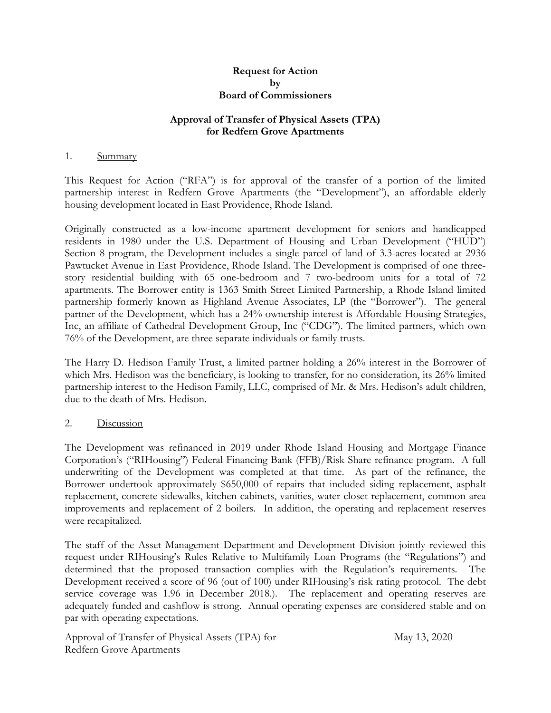### **Request for Action by Board of Commissioners**

## **Approval of Transfer of Physical Assets (TPA) for Redfern Grove Apartments**

#### 1. Summary

This Request for Action ("RFA") is for approval of the transfer of a portion of the limited partnership interest in Redfern Grove Apartments (the "Development"), an affordable elderly housing development located in East Providence, Rhode Island.

Originally constructed as a low-income apartment development for seniors and handicapped residents in 1980 under the U.S. Department of Housing and Urban Development ("HUD") Section 8 program, the Development includes a single parcel of land of 3.3-acres located at 2936 Pawtucket Avenue in East Providence, Rhode Island. The Development is comprised of one threestory residential building with 65 one-bedroom and 7 two-bedroom units for a total of 72 apartments. The Borrower entity is 1363 Smith Street Limited Partnership, a Rhode Island limited partnership formerly known as Highland Avenue Associates, LP (the "Borrower"). The general partner of the Development, which has a 24% ownership interest is Affordable Housing Strategies, Inc, an affiliate of Cathedral Development Group, Inc ("CDG"). The limited partners, which own 76% of the Development, are three separate individuals or family trusts.

The Harry D. Hedison Family Trust, a limited partner holding a 26% interest in the Borrower of which Mrs. Hedison was the beneficiary, is looking to transfer, for no consideration, its 26% limited partnership interest to the Hedison Family, LLC, comprised of Mr. & Mrs. Hedison's adult children, due to the death of Mrs. Hedison.

## 2. Discussion

The Development was refinanced in 2019 under Rhode Island Housing and Mortgage Finance Corporation's ("RIHousing") Federal Financing Bank (FFB)/Risk Share refinance program. A full underwriting of the Development was completed at that time. As part of the refinance, the Borrower undertook approximately \$650,000 of repairs that included siding replacement, asphalt replacement, concrete sidewalks, kitchen cabinets, vanities, water closet replacement, common area improvements and replacement of 2 boilers. In addition, the operating and replacement reserves were recapitalized.

The staff of the Asset Management Department and Development Division jointly reviewed this request under RIHousing's Rules Relative to Multifamily Loan Programs (the "Regulations") and determined that the proposed transaction complies with the Regulation's requirements. The Development received a score of 96 (out of 100) under RIHousing's risk rating protocol. The debt service coverage was 1.96 in December 2018.). The replacement and operating reserves are adequately funded and cashflow is strong. Annual operating expenses are considered stable and on par with operating expectations.

Approval of Transfer of Physical Assets (TPA) for May 13, 2020 Redfern Grove Apartments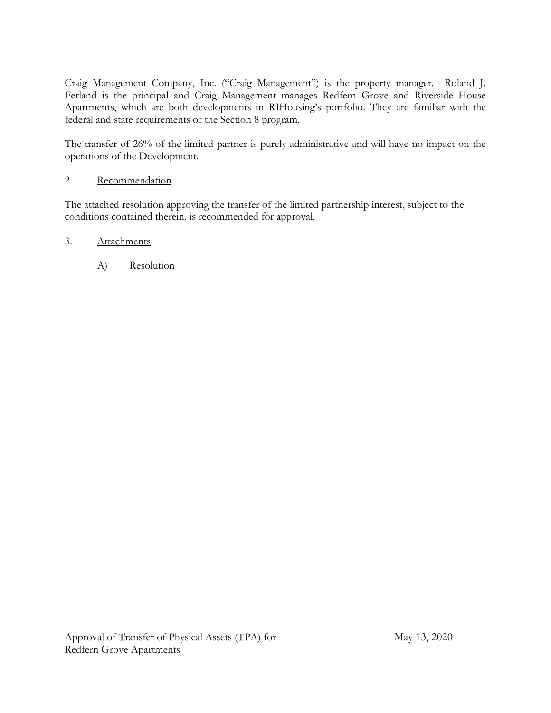Craig Management Company, Inc. ("Craig Management") is the property manager. Roland J. Ferland is the principal and Craig Management manages Redfern Grove and Riverside House Apartments, which are both developments in RIHousing's portfolio. They are familiar with the federal and state requirements of the Section 8 program.

The transfer of 26% of the limited partner is purely administrative and will have no impact on the operations of the Development.

# 2. Recommendation

The attached resolution approving the transfer of the limited partnership interest, subject to the conditions contained therein, is recommended for approval.

# 3. Attachments

A) Resolution